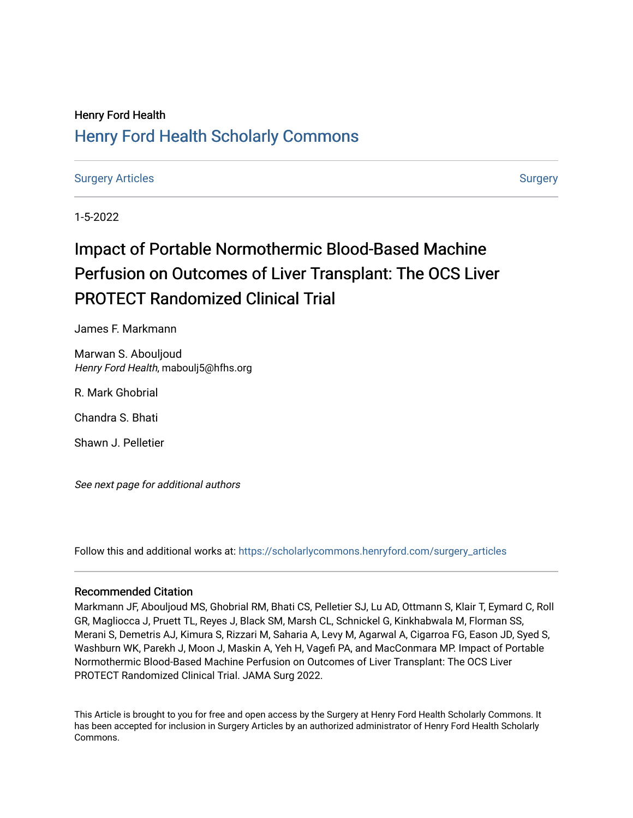# Henry Ford Health [Henry Ford Health Scholarly Commons](https://scholarlycommons.henryford.com/)

[Surgery Articles](https://scholarlycommons.henryford.com/surgery_articles) and the [Surgery](https://scholarlycommons.henryford.com/surgery) Articles Surgery Surgery Surgery Surgery Surgery

1-5-2022

# Impact of Portable Normothermic Blood-Based Machine Perfusion on Outcomes of Liver Transplant: The OCS Liver PROTECT Randomized Clinical Trial

James F. Markmann

Marwan S. Abouljoud Henry Ford Health, maboulj5@hfhs.org

R. Mark Ghobrial

Chandra S. Bhati

Shawn J. Pelletier

See next page for additional authors

Follow this and additional works at: [https://scholarlycommons.henryford.com/surgery\\_articles](https://scholarlycommons.henryford.com/surgery_articles?utm_source=scholarlycommons.henryford.com%2Fsurgery_articles%2F552&utm_medium=PDF&utm_campaign=PDFCoverPages)

## Recommended Citation

Markmann JF, Abouljoud MS, Ghobrial RM, Bhati CS, Pelletier SJ, Lu AD, Ottmann S, Klair T, Eymard C, Roll GR, Magliocca J, Pruett TL, Reyes J, Black SM, Marsh CL, Schnickel G, Kinkhabwala M, Florman SS, Merani S, Demetris AJ, Kimura S, Rizzari M, Saharia A, Levy M, Agarwal A, Cigarroa FG, Eason JD, Syed S, Washburn WK, Parekh J, Moon J, Maskin A, Yeh H, Vagefi PA, and MacConmara MP. Impact of Portable Normothermic Blood-Based Machine Perfusion on Outcomes of Liver Transplant: The OCS Liver PROTECT Randomized Clinical Trial. JAMA Surg 2022.

This Article is brought to you for free and open access by the Surgery at Henry Ford Health Scholarly Commons. It has been accepted for inclusion in Surgery Articles by an authorized administrator of Henry Ford Health Scholarly Commons.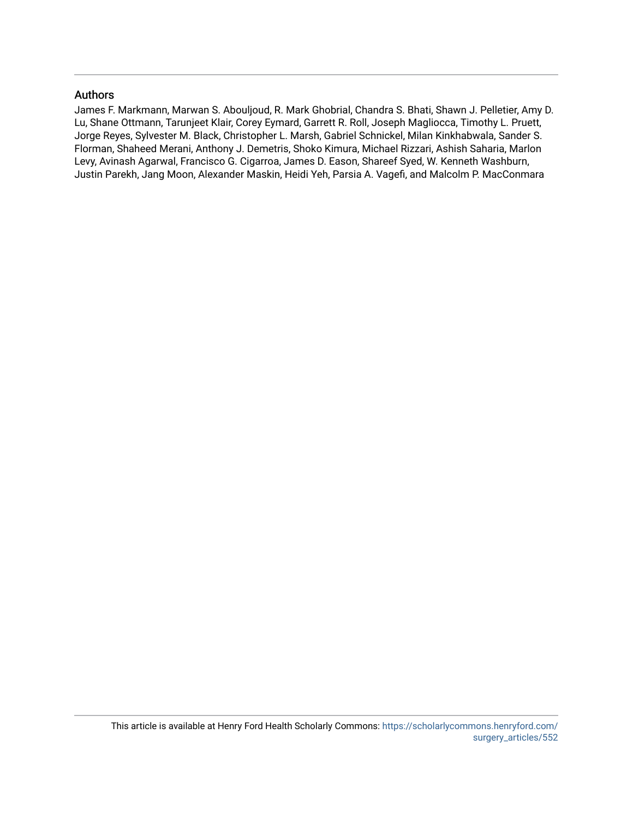# Authors

James F. Markmann, Marwan S. Abouljoud, R. Mark Ghobrial, Chandra S. Bhati, Shawn J. Pelletier, Amy D. Lu, Shane Ottmann, Tarunjeet Klair, Corey Eymard, Garrett R. Roll, Joseph Magliocca, Timothy L. Pruett, Jorge Reyes, Sylvester M. Black, Christopher L. Marsh, Gabriel Schnickel, Milan Kinkhabwala, Sander S. Florman, Shaheed Merani, Anthony J. Demetris, Shoko Kimura, Michael Rizzari, Ashish Saharia, Marlon Levy, Avinash Agarwal, Francisco G. Cigarroa, James D. Eason, Shareef Syed, W. Kenneth Washburn, Justin Parekh, Jang Moon, Alexander Maskin, Heidi Yeh, Parsia A. Vagefi, and Malcolm P. MacConmara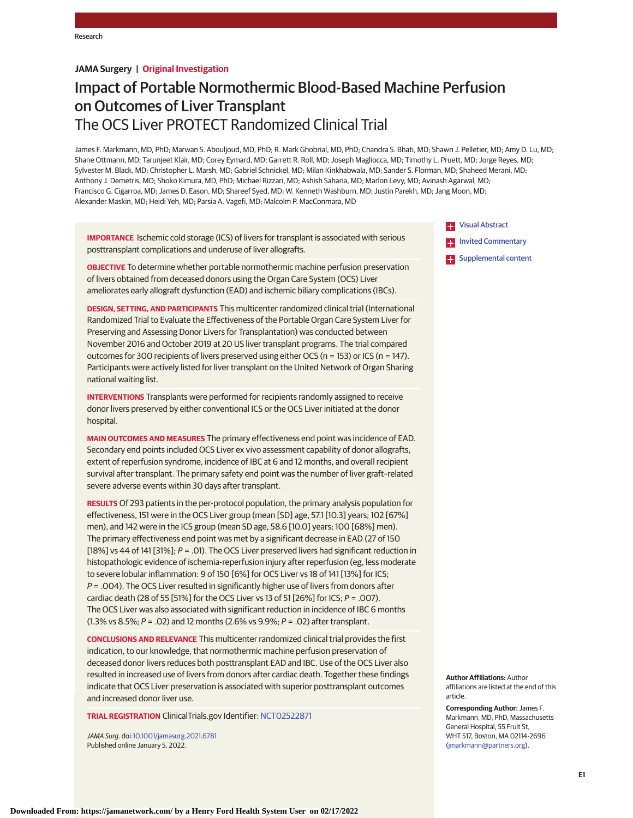#### **JAMA Surgery | Original Investigation**

# Impact of Portable Normothermic Blood-Based Machine Perfusion on Outcomes of Liver Transplant The OCS Liver PROTECT Randomized Clinical Trial

James F. Markmann, MD, PhD; Marwan S. Abouljoud, MD, PhD; R. Mark Ghobrial, MD, PhD; Chandra S. Bhati, MD; Shawn J. Pelletier, MD; Amy D. Lu, MD; Shane Ottmann, MD; Tarunjeet Klair, MD; Corey Eymard, MD; Garrett R. Roll, MD; Joseph Magliocca, MD; Timothy L. Pruett, MD; Jorge Reyes, MD; Sylvester M. Black, MD; Christopher L. Marsh, MD; Gabriel Schnickel, MD; Milan Kinkhabwala, MD; Sander S. Florman, MD; Shaheed Merani, MD; Anthony J. Demetris, MD; Shoko Kimura, MD, PhD; Michael Rizzari, MD; Ashish Saharia, MD; Marlon Levy, MD; Avinash Agarwal, MD; Francisco G. Cigarroa, MD; James D. Eason, MD; Shareef Syed, MD; W. Kenneth Washburn, MD; Justin Parekh, MD; Jang Moon, MD; Alexander Maskin, MD; Heidi Yeh, MD; Parsia A. Vagefi, MD; Malcolm P. MacConmara, MD

**IMPORTANCE** Ischemic cold storage (ICS) of livers for transplant is associated with serious posttransplant complications and underuse of liver allografts.

**OBJECTIVE** To determine whether portable normothermic machine perfusion preservation of livers obtained from deceased donors using the Organ Care System (OCS) Liver ameliorates early allograft dysfunction (EAD) and ischemic biliary complications (IBCs).

**DESIGN, SETTING, AND PARTICIPANTS** This multicenter randomized clinical trial (International Randomized Trial to Evaluate the Effectiveness of the Portable Organ Care System Liver for Preserving and Assessing Donor Livers for Transplantation) was conducted between November 2016 and October 2019 at 20 US liver transplant programs. The trial compared outcomes for 300 recipients of livers preserved using either OCS (n = 153) or ICS (n = 147). Participants were actively listed for liver transplant on the United Network of Organ Sharing national waiting list.

**INTERVENTIONS** Transplants were performed for recipients randomly assigned to receive donor livers preserved by either conventional ICS or the OCS Liver initiated at the donor hospital.

**MAIN OUTCOMES AND MEASURES** The primary effectiveness end point was incidence of EAD. Secondary end points included OCS Liver ex vivo assessment capability of donor allografts, extent of reperfusion syndrome, incidence of IBC at 6 and 12 months, and overall recipient survival after transplant. The primary safety end point was the number of liver graft–related severe adverse events within 30 days after transplant.

**RESULTS** Of 293 patients in the per-protocol population, the primary analysis population for effectiveness, 151 were in the OCS Liver group (mean [SD] age, 57.1 [10.3] years; 102 [67%] men), and 142 were in the ICS group (mean SD age, 58.6 [10.0] years; 100 [68%] men). The primary effectiveness end point was met by a significant decrease in EAD (27 of 150 [18%] vs 44 of 141 [31%]; P = .01). The OCS Liver preserved livers had significant reduction in histopathologic evidence of ischemia-reperfusion injury after reperfusion (eg, less moderate to severe lobular inflammation: 9 of 150 [6%] for OCS Liver vs 18 of 141 [13%] for ICS;  $P = .004$ ). The OCS Liver resulted in significantly higher use of livers from donors after cardiac death (28 of 55 [51%] for the OCS Liver vs 13 of 51 [26%] for ICS;  $P = .007$ ). The OCS Liver was also associated with significant reduction in incidence of IBC 6 months (1.3% vs 8.5%;  $P = .02$ ) and 12 months (2.6% vs 9.9%;  $P = .02$ ) after transplant.

**CONCLUSIONS AND RELEVANCE** This multicenter randomized clinical trial provides the first indication, to our knowledge, that normothermic machine perfusion preservation of deceased donor livers reduces both posttransplant EAD and IBC. Use of the OCS Liver also resulted in increased use of livers from donors after cardiac death. Together these findings indicate that OCS Liver preservation is associated with superior posttransplant outcomes and increased donor liver use.

**TRIAL REGISTRATION** ClinicalTrials.gov Identifier: [NCT02522871](https://clinicaltrials.gov/ct2/show/NCT02522871)

JAMA Surg. doi[:10.1001/jamasurg.2021.6781](https://jamanetwork.com/journals/jama/fullarticle/10.1001/jamasurg.2021.6781?utm_campaign=articlePDF%26utm_medium=articlePDFlink%26utm_source=articlePDF%26utm_content=jamasurg.2021.6781) Published online January 5, 2022.

**TH** [Visual Abstract](https://jamanetwork.com/journals/jama/fullarticle/10.1001/jamasurg.2021.6781?utm_campaign=articlePDF%26utm_medium=articlePDFlink%26utm_source=articlePDF%26utm_content=jamasurg.2021.6781)

**[Invited Commentary](https://jamanetwork.com/journals/jama/fullarticle/10.1001/jamasurg.2021.6808?utm_campaign=articlePDF%26utm_medium=articlePDFlink%26utm_source=articlePDF%26utm_content=jamasurg.2021.6781)** 

**Examplemental content** 

**Author Affiliations:** Author affiliations are listed at the end of this article.

**Corresponding Author:** James F. Markmann, MD, PhD, Massachusetts General Hospital, 55 Fruit St, WHT 517, Boston, MA 02114-2696 [\(jmarkmann@partners.org\)](mailto:jmarkmann@partners.org).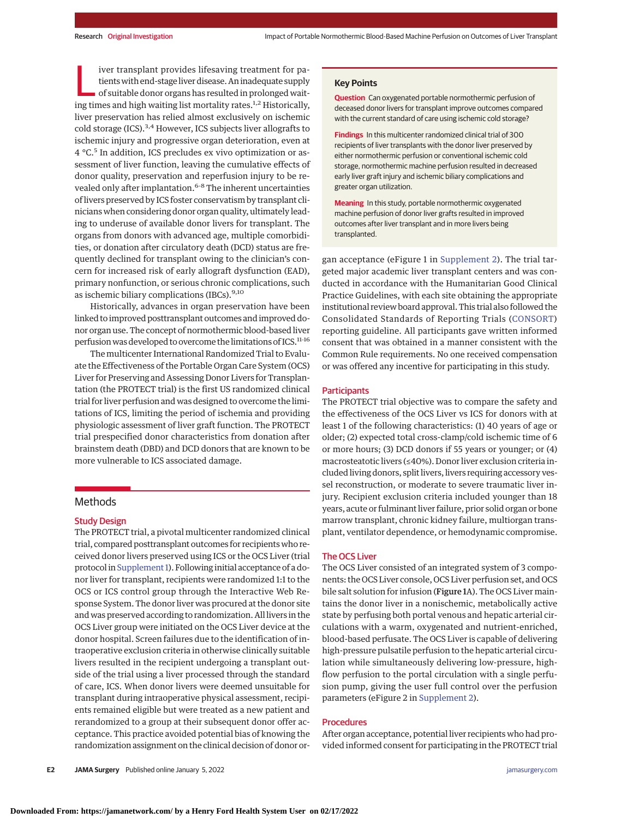iver transplant provides lifesaving treatment for pa-<br>tients with end-stage liver disease. An inadequate supply<br>of suitable donor organs has resulted in prolonged wait-<br>ing times and high waiting list mortality rates <sup>1,2</sup> tients with end-stage liver disease. An inadequate supply ing times and high waiting list mortality rates.<sup>1,2</sup> Historically, liver preservation has relied almost exclusively on ischemic cold storage (ICS).<sup>3,4</sup> However, ICS subjects liver allografts to ischemic injury and progressive organ deterioration, even at 4 °C.<sup>5</sup> In addition, ICS precludes ex vivo optimization or assessment of liver function, leaving the cumulative effects of donor quality, preservation and reperfusion injury to be revealed only after implantation.6-8 The inherent uncertainties of livers preserved by ICS foster conservatism by transplant clinicians when considering donor organ quality, ultimately leading to underuse of available donor livers for transplant. The organs from donors with advanced age, multiple comorbidities, or donation after circulatory death (DCD) status are frequently declined for transplant owing to the clinician's concern for increased risk of early allograft dysfunction (EAD), primary nonfunction, or serious chronic complications, such as ischemic biliary complications (IBCs).<sup>9,10</sup>

Historically, advances in organ preservation have been linked to improved posttransplant outcomes and improved donor organ use. The concept of normothermic blood-based liver perfusion was developed to overcome the limitations of ICS.<sup>11-16</sup>

The multicenter International Randomized Trial to Evaluate the Effectiveness of the Portable Organ Care System (OCS) Liver for Preserving and Assessing Donor Livers for Transplantation (the PROTECT trial) is the first US randomized clinical trial for liver perfusion and was designed to overcome the limitations of ICS, limiting the period of ischemia and providing physiologic assessment of liver graft function. The PROTECT trial prespecified donor characteristics from donation after brainstem death (DBD) and DCD donors that are known to be more vulnerable to ICS associated damage.

#### **Methods**

#### Study Design

The PROTECT trial, a pivotal multicenter randomized clinical trial, compared posttransplant outcomes for recipients who received donor livers preserved using ICS or the OCS Liver (trial protocol in Supplement 1). Following initial acceptance of a donor liver for transplant, recipients were randomized 1:1 to the OCS or ICS control group through the Interactive Web Response System. The donor liver was procured at the donor site and was preserved according to randomization. All livers in the OCS Liver group were initiated on the OCS Liver device at the donor hospital. Screen failures due to the identification of intraoperative exclusion criteria in otherwise clinically suitable livers resulted in the recipient undergoing a transplant outside of the trial using a liver processed through the standard of care, ICS. When donor livers were deemed unsuitable for transplant during intraoperative physical assessment, recipients remained eligible but were treated as a new patient and rerandomized to a group at their subsequent donor offer acceptance. This practice avoided potential bias of knowing the randomization assignment on the clinical decision of donor or-

#### **Key Points**

**Question** Can oxygenated portable normothermic perfusion of deceased donor livers for transplant improve outcomes compared with the current standard of care using ischemic cold storage?

**Findings** In this multicenter randomized clinical trial of 300 recipients of liver transplants with the donor liver preserved by either normothermic perfusion or conventional ischemic cold storage, normothermic machine perfusion resulted in decreased early liver graft injury and ischemic biliary complications and greater organ utilization.

**Meaning** In this study, portable normothermic oxygenated machine perfusion of donor liver grafts resulted in improved outcomes after liver transplant and in more livers being transplanted.

gan acceptance (eFigure 1 in [Supplement 2\)](https://jamanetwork.com/journals/jama/fullarticle/10.1001/jamasurg.2021.6781?utm_campaign=articlePDF%26utm_medium=articlePDFlink%26utm_source=articlePDF%26utm_content=jamasurg.2021.6781). The trial targeted major academic liver transplant centers and was conducted in accordance with the Humanitarian Good Clinical Practice Guidelines, with each site obtaining the appropriate institutional review board approval. This trial also followed the Consolidated Standards of Reporting Trials [\(CONSORT\)](https://www.equator-network.org/reporting-guidelines/consort/) reporting guideline. All participants gave written informed consent that was obtained in a manner consistent with the Common Rule requirements. No one received compensation or was offered any incentive for participating in this study.

#### **Participants**

The PROTECT trial objective was to compare the safety and the effectiveness of the OCS Liver vs ICS for donors with at least 1 of the following characteristics: (1) 40 years of age or older; (2) expected total cross-clamp/cold ischemic time of 6 or more hours; (3) DCD donors if 55 years or younger; or (4) macrosteatotic livers (≤40%). Donor liver exclusion criteria included living donors, split livers, livers requiring accessory vessel reconstruction, or moderate to severe traumatic liver injury. Recipient exclusion criteria included younger than 18 years, acute or fulminant liver failure, prior solid organ or bone marrow transplant, chronic kidney failure, multiorgan transplant, ventilator dependence, or hemodynamic compromise.

#### The OCS Liver

The OCS Liver consisted of an integrated system of 3 components: the OCS Liver console, OCS Liver perfusion set, and OCS bile salt solution for infusion (Figure 1A). The OCS Liver maintains the donor liver in a nonischemic, metabolically active state by perfusing both portal venous and hepatic arterial circulations with a warm, oxygenated and nutrient-enriched, blood-based perfusate. The OCS Liver is capable of delivering high-pressure pulsatile perfusion to the hepatic arterial circulation while simultaneously delivering low-pressure, highflow perfusion to the portal circulation with a single perfusion pump, giving the user full control over the perfusion parameters (eFigure 2 in [Supplement 2\)](https://jamanetwork.com/journals/jama/fullarticle/10.1001/jamasurg.2021.6781?utm_campaign=articlePDF%26utm_medium=articlePDFlink%26utm_source=articlePDF%26utm_content=jamasurg.2021.6781).

#### **Procedures**

After organ acceptance, potential liver recipients who had provided informed consent for participating in the PROTECT trial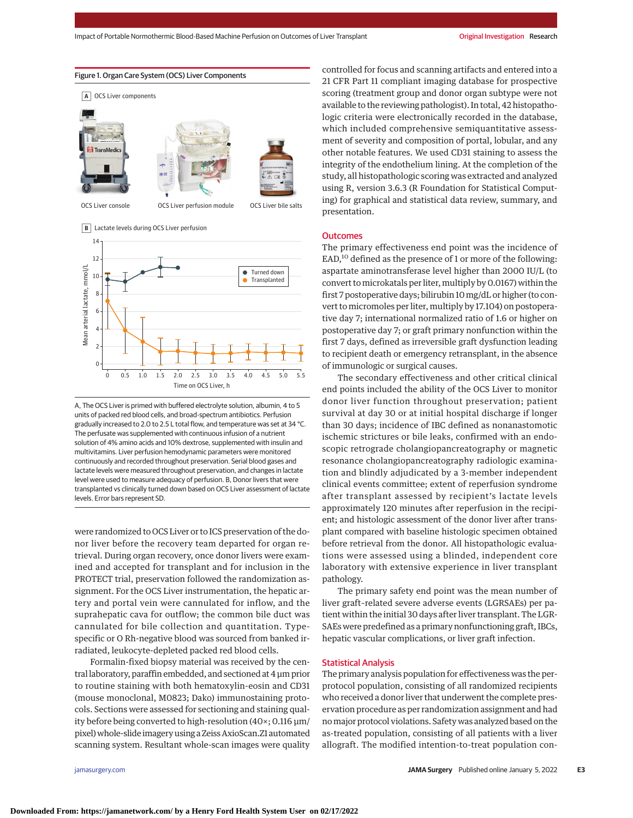





A, The OCS Liver is primed with buffered electrolyte solution, albumin, 4 to 5 units of packed red blood cells, and broad-spectrum antibiotics. Perfusion gradually increased to 2.0 to 2.5 L total flow, and temperature was set at 34 °C. The perfusate was supplemented with continuous infusion of a nutrient solution of 4% amino acids and 10% dextrose, supplemented with insulin and multivitamins. Liver perfusion hemodynamic parameters were monitored continuously and recorded throughout preservation. Serial blood gases and lactate levels were measured throughout preservation, and changes in lactate level were used to measure adequacy of perfusion. B, Donor livers that were transplanted vs clinically turned down based on OCS Liver assessment of lactate levels. Error bars represent SD.

were randomized to OCS Liver or to ICS preservation of the donor liver before the recovery team departed for organ retrieval. During organ recovery, once donor livers were examined and accepted for transplant and for inclusion in the PROTECT trial, preservation followed the randomization assignment. For the OCS Liver instrumentation, the hepatic artery and portal vein were cannulated for inflow, and the suprahepatic cava for outflow; the common bile duct was cannulated for bile collection and quantitation. Typespecific or O Rh-negative blood was sourced from banked irradiated, leukocyte-depleted packed red blood cells.

Formalin-fixed biopsy material was received by the central laboratory, paraffin embedded, and sectioned at 4 μm prior to routine staining with both hematoxylin-eosin and CD31 (mouse monoclonal, M0823; Dako) immunostaining protocols. Sections were assessed for sectioning and staining quality before being converted to high-resolution (40×; 0.116 μm/ pixel) whole-slide imagery using a Zeiss AxioScan.Z1 automated scanning system. Resultant whole-scan images were quality

controlled for focus and scanning artifacts and entered into a 21 CFR Part 11 compliant imaging database for prospective scoring (treatment group and donor organ subtype were not available to the reviewing pathologist). In total, 42 histopathologic criteria were electronically recorded in the database, which included comprehensive semiquantitative assessment of severity and composition of portal, lobular, and any other notable features. We used CD31 staining to assess the integrity of the endothelium lining. At the completion of the study, all histopathologic scoring was extracted and analyzed using R, version 3.6.3 (R Foundation for Statistical Computing) for graphical and statistical data review, summary, and presentation.

#### **Outcomes**

The primary effectiveness end point was the incidence of  $EAD<sub>1</sub><sup>10</sup>$  defined as the presence of 1 or more of the following: aspartate aminotransferase level higher than 2000 IU/L (to convert to microkatals per liter, multiply by 0.0167) within the first 7 postoperative days; bilirubin 10 mg/dL or higher (to convert to micromoles per liter, multiply by 17.104) on postoperative day 7; international normalized ratio of 1.6 or higher on postoperative day 7; or graft primary nonfunction within the first 7 days, defined as irreversible graft dysfunction leading to recipient death or emergency retransplant, in the absence of immunologic or surgical causes.

The secondary effectiveness and other critical clinical end points included the ability of the OCS Liver to monitor donor liver function throughout preservation; patient survival at day 30 or at initial hospital discharge if longer than 30 days; incidence of IBC defined as nonanastomotic ischemic strictures or bile leaks, confirmed with an endoscopic retrograde cholangiopancreatography or magnetic resonance cholangiopancreatography radiologic examination and blindly adjudicated by a 3-member independent clinical events committee; extent of reperfusion syndrome after transplant assessed by recipient's lactate levels approximately 120 minutes after reperfusion in the recipient; and histologic assessment of the donor liver after transplant compared with baseline histologic specimen obtained before retrieval from the donor. All histopathologic evaluations were assessed using a blinded, independent core laboratory with extensive experience in liver transplant pathology.

The primary safety end point was the mean number of liver graft–related severe adverse events (LGRSAEs) per patient within the initial 30 days after liver transplant. The LGR-SAEs were predefined as a primary nonfunctioning graft, IBCs, hepatic vascular complications, or liver graft infection.

#### Statistical Analysis

The primary analysis population for effectiveness was the perprotocol population, consisting of all randomized recipients who received a donor liver that underwent the complete preservation procedure as per randomization assignment and had nomajor protocol violations. Safety was analyzed based on the as-treated population, consisting of all patients with a liver allograft. The modified intention-to-treat population con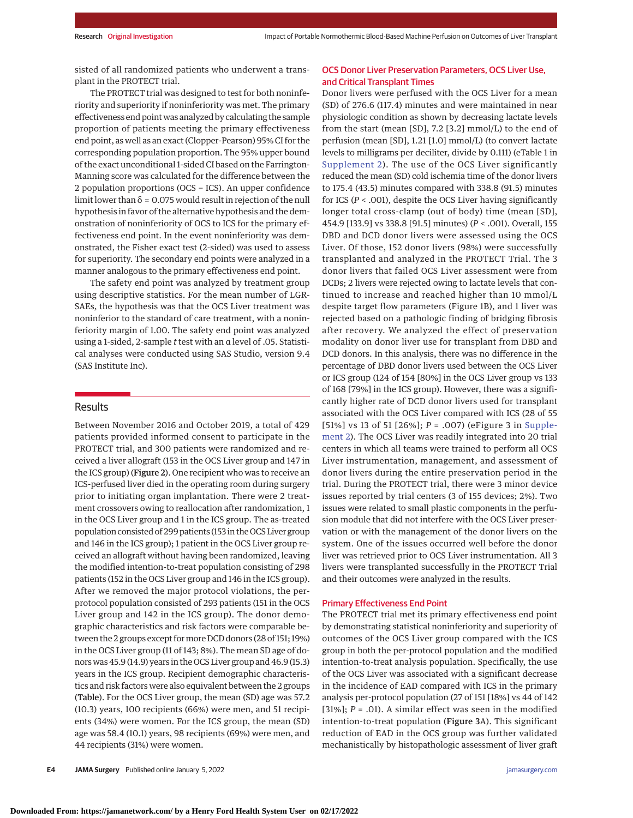sisted of all randomized patients who underwent a transplant in the PROTECT trial.

The PROTECT trial was designed to test for both noninferiority and superiority if noninferiority was met. The primary effectiveness end point was analyzed by calculating the sample proportion of patients meeting the primary effectiveness end point, as well as an exact (Clopper-Pearson) 95% CI for the corresponding population proportion. The 95% upper bound of the exact unconditional 1-sided CI based on the Farrington-Manning score was calculated for the difference between the 2 population proportions (OCS − ICS). An upper confidence limit lower than  $\delta$  = 0.075 would result in rejection of the null hypothesis in favor of the alternative hypothesis and the demonstration of noninferiority of OCS to ICS for the primary effectiveness end point. In the event noninferiority was demonstrated, the Fisher exact test (2-sided) was used to assess for superiority. The secondary end points were analyzed in a manner analogous to the primary effectiveness end point.

The safety end point was analyzed by treatment group using descriptive statistics. For the mean number of LGR-SAEs, the hypothesis was that the OCS Liver treatment was noninferior to the standard of care treatment, with a noninferiority margin of 1.00. The safety end point was analyzed using a 1-sided, 2-sample *t* test with an α level of .05. Statistical analyses were conducted using SAS Studio, version 9.4 (SAS Institute Inc).

#### Results

Between November 2016 and October 2019, a total of 429 patients provided informed consent to participate in the PROTECT trial, and 300 patients were randomized and received a liver allograft (153 in the OCS Liver group and 147 in the ICS group) (Figure 2). One recipient who was to receive an ICS-perfused liver died in the operating room during surgery prior to initiating organ implantation. There were 2 treatment crossovers owing to reallocation after randomization, 1 in the OCS Liver group and 1 in the ICS group. The as-treated population consisted of 299 patients (153 in the OCS Liver group and 146 in the ICS group); 1 patient in the OCS Liver group received an allograft without having been randomized, leaving the modified intention-to-treat population consisting of 298 patients (152 in the OCS Liver group and 146 in the ICS group). After we removed the major protocol violations, the perprotocol population consisted of 293 patients (151 in the OCS Liver group and 142 in the ICS group). The donor demographic characteristics and risk factors were comparable between the 2 groups except formore DCD donors (28 of 151; 19%) in the OCS Liver group (11 of 143; 8%). The mean SD age of donors was 45.9 (14.9) years in the OCS Liver group and 46.9 (15.3) years in the ICS group. Recipient demographic characteristics and risk factors were also equivalent between the 2 groups (Table). For the OCS Liver group, the mean (SD) age was 57.2 (10.3) years, 100 recipients (66%) were men, and 51 recipients (34%) were women. For the ICS group, the mean (SD) age was 58.4 (10.1) years, 98 recipients (69%) were men, and 44 recipients (31%) were women.

#### OCS Donor Liver Preservation Parameters, OCS Liver Use, and Critical Transplant Times

Donor livers were perfused with the OCS Liver for a mean (SD) of 276.6 (117.4) minutes and were maintained in near physiologic condition as shown by decreasing lactate levels from the start (mean [SD], 7.2 [3.2] mmol/L) to the end of perfusion (mean [SD], 1.21 [1.0] mmol/L) (to convert lactate levels to milligrams per deciliter, divide by 0.111) (eTable 1 in [Supplement 2\)](https://jamanetwork.com/journals/jama/fullarticle/10.1001/jamasurg.2021.6781?utm_campaign=articlePDF%26utm_medium=articlePDFlink%26utm_source=articlePDF%26utm_content=jamasurg.2021.6781). The use of the OCS Liver significantly reduced the mean (SD) cold ischemia time of the donor livers to 175.4 (43.5) minutes compared with 338.8 (91.5) minutes for ICS (*P* < .001), despite the OCS Liver having significantly longer total cross-clamp (out of body) time (mean [SD], 454.9 [133.9] vs 338.8 [91.5] minutes) (*P* < .001). Overall, 155 DBD and DCD donor livers were assessed using the OCS Liver. Of those, 152 donor livers (98%) were successfully transplanted and analyzed in the PROTECT Trial. The 3 donor livers that failed OCS Liver assessment were from DCDs; 2 livers were rejected owing to lactate levels that continued to increase and reached higher than 10 mmol/L despite target flow parameters (Figure 1B), and 1 liver was rejected based on a pathologic finding of bridging fibrosis after recovery. We analyzed the effect of preservation modality on donor liver use for transplant from DBD and DCD donors. In this analysis, there was no difference in the percentage of DBD donor livers used between the OCS Liver or ICS group (124 of 154 [80%] in the OCS Liver group vs 133 of 168 [79%] in the ICS group). However, there was a significantly higher rate of DCD donor livers used for transplant associated with the OCS Liver compared with ICS (28 of 55 [51%] vs 13 of 51 [26%]; *P* = .007) (eFigure 3 in [Supple](https://jamanetwork.com/journals/jama/fullarticle/10.1001/jamasurg.2021.6781?utm_campaign=articlePDF%26utm_medium=articlePDFlink%26utm_source=articlePDF%26utm_content=jamasurg.2021.6781)[ment 2\)](https://jamanetwork.com/journals/jama/fullarticle/10.1001/jamasurg.2021.6781?utm_campaign=articlePDF%26utm_medium=articlePDFlink%26utm_source=articlePDF%26utm_content=jamasurg.2021.6781). The OCS Liver was readily integrated into 20 trial centers in which all teams were trained to perform all OCS Liver instrumentation, management, and assessment of donor livers during the entire preservation period in the trial. During the PROTECT trial, there were 3 minor device issues reported by trial centers (3 of 155 devices; 2%). Two issues were related to small plastic components in the perfusion module that did not interfere with the OCS Liver preservation or with the management of the donor livers on the system. One of the issues occurred well before the donor liver was retrieved prior to OCS Liver instrumentation. All 3 livers were transplanted successfully in the PROTECT Trial and their outcomes were analyzed in the results.

#### Primary Effectiveness End Point

The PROTECT trial met its primary effectiveness end point by demonstrating statistical noninferiority and superiority of outcomes of the OCS Liver group compared with the ICS group in both the per-protocol population and the modified intention-to-treat analysis population. Specifically, the use of the OCS Liver was associated with a significant decrease in the incidence of EAD compared with ICS in the primary analysis per-protocol population (27 of 151 [18%] vs 44 of 142 [31%]; *P* = .01). A similar effect was seen in the modified intention-to-treat population (Figure 3A). This significant reduction of EAD in the OCS group was further validated mechanistically by histopathologic assessment of liver graft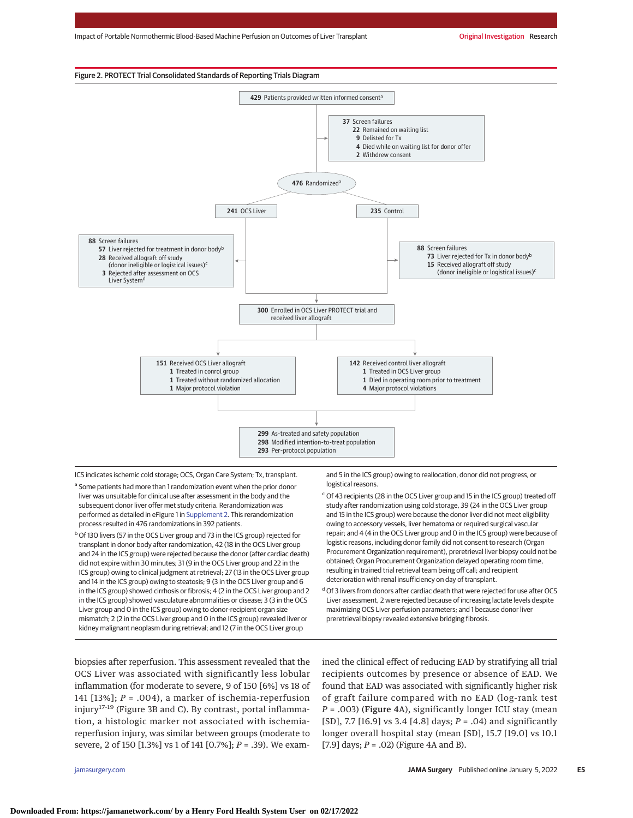

ICS indicates ischemic cold storage; OCS, Organ Care System; Tx, transplant.

- a Some patients had more than 1 randomization event when the prior donor liver was unsuitable for clinical use after assessment in the body and the subsequent donor liver offer met study criteria. Rerandomization was performed as detailed in eFigure 1 in [Supplement 2.](https://jamanetwork.com/journals/jama/fullarticle/10.1001/jamasurg.2021.6781?utm_campaign=articlePDF%26utm_medium=articlePDFlink%26utm_source=articlePDF%26utm_content=jamasurg.2021.6781) This rerandomization process resulted in 476 randomizations in 392 patients.
- <sup>b</sup> Of 130 livers (57 in the OCS Liver group and 73 in the ICS group) rejected for transplant in donor body after randomization, 42 (18 in the OCS Liver group and 24 in the ICS group) were rejected because the donor (after cardiac death) did not expire within 30 minutes; 31 (9 in the OCS Liver group and 22 in the ICS group) owing to clinical judgment at retrieval; 27 (13 in the OCS Liver group and 14 in the ICS group) owing to steatosis; 9 (3 in the OCS Liver group and 6 in the ICS group) showed cirrhosis or fibrosis; 4 (2 in the OCS Liver group and 2 in the ICS group) showed vasculature abnormalities or disease; 3 (3 in the OCS Liver group and 0 in the ICS group) owing to donor-recipient organ size mismatch; 2 (2 in the OCS Liver group and 0 in the ICS group) revealed liver or kidney malignant neoplasm during retrieval; and 12 (7 in the OCS Liver group

and 5 in the ICS group) owing to reallocation, donor did not progress, or logistical reasons.

- <sup>c</sup> Of 43 recipients (28 in the OCS Liver group and 15 in the ICS group) treated off study after randomization using cold storage, 39 (24 in the OCS Liver group and 15 in the ICS group) were because the donor liver did not meet eligibility owing to accessory vessels, liver hematoma or required surgical vascular repair; and 4 (4 in the OCS Liver group and 0 in the ICS group) were because of logistic reasons, including donor family did not consent to research (Organ Procurement Organization requirement), preretrieval liver biopsy could not be obtained; Organ Procurement Organization delayed operating room time, resulting in trained trial retrieval team being off call; and recipient deterioration with renal insufficiency on day of transplant.
- d Of 3 livers from donors after cardiac death that were rejected for use after OCS Liver assessment, 2 were rejected because of increasing lactate levels despite maximizing OCS Liver perfusion parameters; and 1 because donor liver preretrieval biopsy revealed extensive bridging fibrosis.
- biopsies after reperfusion. This assessment revealed that the OCS Liver was associated with significantly less lobular inflammation (for moderate to severe, 9 of 150 [6%] vs 18 of 141 [13%]; *P* = .004), a marker of ischemia-reperfusion injury17-19 (Figure 3B and C). By contrast, portal inflammation, a histologic marker not associated with ischemiareperfusion injury, was similar between groups (moderate to severe, 2 of 150 [1.3%] vs 1 of 141 [0.7%]; *P* = .39). We exam-

ined the clinical effect of reducing EAD by stratifying all trial recipients outcomes by presence or absence of EAD. We found that EAD was associated with significantly higher risk of graft failure compared with no EAD (log-rank test *P* = .003) (Figure 4A), significantly longer ICU stay (mean [SD], 7.7 [16.9] vs 3.4 [4.8] days; *P* = .04) and significantly longer overall hospital stay (mean [SD], 15.7 [19.0] vs 10.1 [7.9] days; *P* = .02) (Figure 4A and B).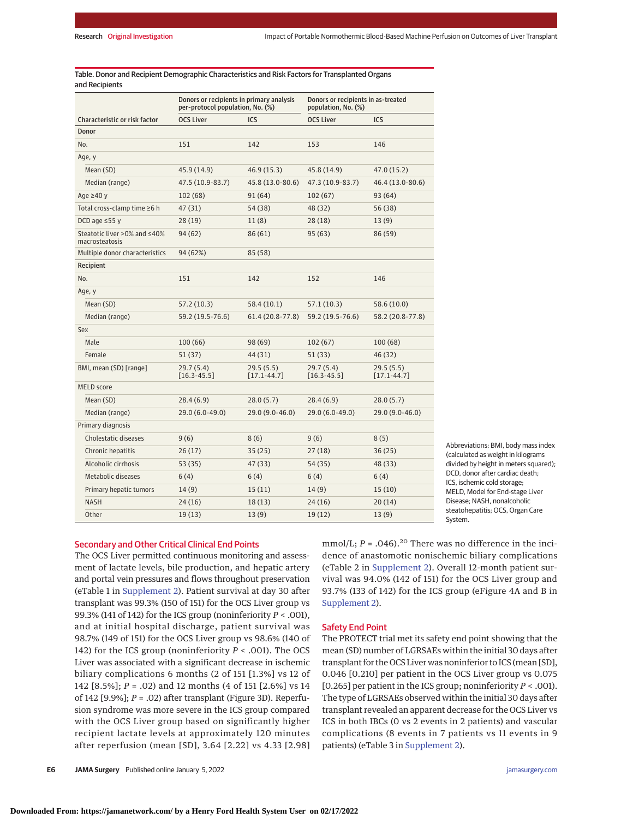Table. Donor and Recipient Demographic Characteristics and Risk Factors for Transplanted Organs and Recipients

|                                                | Donors or recipients in primary analysis<br>per-protocol population, No. (%) |                              | Donors or recipients in as-treated<br>population, No. (%) |                               |
|------------------------------------------------|------------------------------------------------------------------------------|------------------------------|-----------------------------------------------------------|-------------------------------|
| Characteristic or risk factor                  | <b>OCS Liver</b>                                                             | ICS                          | <b>OCS Liver</b>                                          | ICS                           |
| Donor                                          |                                                                              |                              |                                                           |                               |
| No.                                            | 151                                                                          | 142                          | 153                                                       | 146                           |
| Age, y                                         |                                                                              |                              |                                                           |                               |
| Mean (SD)                                      | 45.9 (14.9)                                                                  | 46.9 (15.3)                  | 45.8 (14.9)                                               | 47.0 (15.2)                   |
| Median (range)                                 | 47.5 (10.9-83.7)                                                             | 45.8 (13.0-80.6)             | 47.3 (10.9-83.7)                                          | 46.4 (13.0-80.6)              |
| Age $\geq$ 40 y                                | 102 (68)                                                                     | 91 (64)                      | 102(67)                                                   | 93 (64)                       |
| Total cross-clamp time ≥6 h                    | 47 (31)                                                                      | 54 (38)                      | 48 (32)                                                   | 56 (38)                       |
| DCD age $\leq$ 55 y                            | 28(19)                                                                       | 11(8)                        | 28 (18)                                                   | 13(9)                         |
| Steatotic liver >0% and ≤40%<br>macrosteatosis | 94 (62)                                                                      | 86 (61)                      | 95(63)                                                    | 86 (59)                       |
| Multiple donor characteristics                 | 94 (62%)                                                                     | 85 (58)                      |                                                           |                               |
| Recipient                                      |                                                                              |                              |                                                           |                               |
| No.                                            | 151                                                                          | 142                          | 152                                                       | 146                           |
| Age, y                                         |                                                                              |                              |                                                           |                               |
| Mean (SD)                                      | 57.2 (10.3)                                                                  | 58.4 (10.1)                  | 57.1 (10.3)                                               | 58.6 (10.0)                   |
| Median (range)                                 | 59.2 (19.5-76.6)                                                             | 61.4 (20.8-77.8)             | 59.2 (19.5-76.6)                                          | 58.2 (20.8-77.8)              |
| Sex                                            |                                                                              |                              |                                                           |                               |
| Male                                           | 100 (66)                                                                     | 98 (69)                      | 102(67)                                                   | 100 (68)                      |
| Female                                         | 51(37)                                                                       | 44 (31)                      | 51(33)                                                    | 46 (32)                       |
| BMI, mean (SD) [range]                         | 29.7 (5.4)<br>$[16.3 - 45.5]$                                                | 29.5(5.5)<br>$[17.1 - 44.7]$ | 29.7 (5.4)<br>$[16.3 - 45.5]$                             | 29.5 (5.5)<br>$[17.1 - 44.7]$ |
| <b>MELD</b> score                              |                                                                              |                              |                                                           |                               |
| Mean (SD)                                      | 28.4(6.9)                                                                    | 28.0(5.7)                    | 28.4(6.9)                                                 | 28.0 (5.7)                    |
| Median (range)                                 | 29.0 (6.0-49.0)                                                              | 29.0 (9.0-46.0)              | 29.0 (6.0-49.0)                                           | 29.0 (9.0-46.0)               |
| Primary diagnosis                              |                                                                              |                              |                                                           |                               |
| Cholestatic diseases                           | 9(6)                                                                         | 8(6)                         | 9(6)                                                      | 8(5)                          |
| Chronic hepatitis                              | 26(17)                                                                       | 35(25)                       | 27(18)                                                    | 36(25)                        |
| Alcoholic cirrhosis                            | 53 (35)                                                                      | 47 (33)                      | 54 (35)                                                   | 48 (33)                       |
| Metabolic diseases                             | 6(4)                                                                         | 6(4)                         | 6(4)                                                      | 6(4)                          |
| Primary hepatic tumors                         | 14(9)                                                                        | 15(11)                       | 14(9)                                                     | 15(10)                        |
| <b>NASH</b>                                    | 24 (16)                                                                      | 18(13)                       | 24 (16)                                                   | 20(14)                        |
| Other                                          | 19 (13)                                                                      | 13(9)                        | 19(12)                                                    | 13(9)                         |

Abbreviations: BMI, body mass index (calculated as weight in kilograms divided by height in meters squared); DCD, donor after cardiac death; ICS, ischemic cold storage; MELD, Model for End-stage Liver Disease; NASH, nonalcoholic steatohepatitis; OCS, Organ Care System.

#### Secondary and Other Critical Clinical End Points

The OCS Liver permitted continuous monitoring and assessment of lactate levels, bile production, and hepatic artery and portal vein pressures and flows throughout preservation (eTable 1 in [Supplement 2\)](https://jamanetwork.com/journals/jama/fullarticle/10.1001/jamasurg.2021.6781?utm_campaign=articlePDF%26utm_medium=articlePDFlink%26utm_source=articlePDF%26utm_content=jamasurg.2021.6781). Patient survival at day 30 after transplant was 99.3% (150 of 151) for the OCS Liver group vs 99.3% (141 of 142) for the ICS group (noninferiority *P* < .001), and at initial hospital discharge, patient survival was 98.7% (149 of 151) for the OCS Liver group vs 98.6% (140 of 142) for the ICS group (noninferiority *P* < .001). The OCS Liver was associated with a significant decrease in ischemic biliary complications 6 months (2 of 151 [1.3%] vs 12 of 142 [8.5%]; *P* = .02) and 12 months (4 of 151 [2.6%] vs 14 of 142 [9.9%]; *P* = .02) after transplant (Figure 3D). Reperfusion syndrome was more severe in the ICS group compared with the OCS Liver group based on significantly higher recipient lactate levels at approximately 120 minutes after reperfusion (mean [SD], 3.64 [2.22] vs 4.33 [2.98]

mmol/L;  $P = .046$ ).<sup>20</sup> There was no difference in the incidence of anastomotic nonischemic biliary complications (eTable 2 in [Supplement 2\)](https://jamanetwork.com/journals/jama/fullarticle/10.1001/jamasurg.2021.6781?utm_campaign=articlePDF%26utm_medium=articlePDFlink%26utm_source=articlePDF%26utm_content=jamasurg.2021.6781). Overall 12-month patient survival was 94.0% (142 of 151) for the OCS Liver group and 93.7% (133 of 142) for the ICS group (eFigure 4A and B in [Supplement 2\)](https://jamanetwork.com/journals/jama/fullarticle/10.1001/jamasurg.2021.6781?utm_campaign=articlePDF%26utm_medium=articlePDFlink%26utm_source=articlePDF%26utm_content=jamasurg.2021.6781).

#### Safety End Point

The PROTECT trial met its safety end point showing that the mean (SD) number of LGRSAEs within the initial 30 days after transplant for the OCS Liver was noninferior to ICS (mean [SD], 0.046 [0.210] per patient in the OCS Liver group vs 0.075 [0.265] per patient in the ICS group; noninferiority *P* < .001). The type of LGRSAEs observed within the initial 30 days after transplant revealed an apparent decrease for the OCS Liver vs ICS in both IBCs (0 vs 2 events in 2 patients) and vascular complications (8 events in 7 patients vs 11 events in 9 patients) (eTable 3 in [Supplement 2\)](https://jamanetwork.com/journals/jama/fullarticle/10.1001/jamasurg.2021.6781?utm_campaign=articlePDF%26utm_medium=articlePDFlink%26utm_source=articlePDF%26utm_content=jamasurg.2021.6781).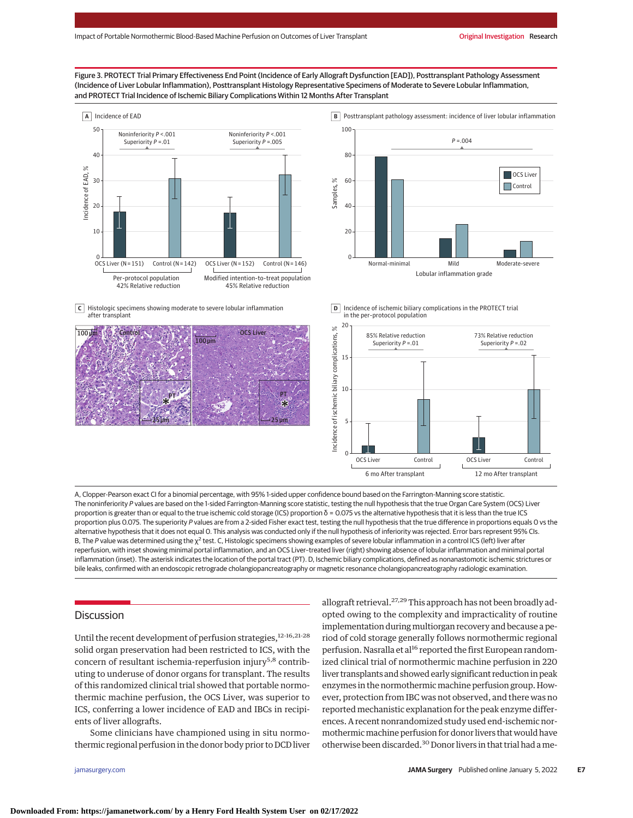#### Figure 3. PROTECT Trial Primary Effectiveness End Point (Incidence of Early Allograft Dysfunction [EAD]), Posttransplant Pathology Assessment (Incidence of Liver Lobular Inflammation), Posttransplant Histology Representative Specimens of Moderate to Severe Lobular Inflammation, and PROTECT Trial Incidence of Ischemic Biliary Complications Within 12 Months After Transplant





Histologic specimens showing moderate to severe lobular inflammation **C** after transplant







A, Clopper-Pearson exact CI for a binomial percentage, with 95% 1-sided upper confidence bound based on the Farrington-Manning score statistic. The noninferiority P values are based on the 1-sided Farrington-Manning score statistic, testing the null hypothesis that the true Organ Care System (OCS) Liver proportion is greater than or equal to the true ischemic cold storage (ICS) proportion δ = 0.075 vs the alternative hypothesis that it is less than the true ICS proportion plus 0.075. The superiority P values are from a 2-sided Fisher exact test, testing the null hypothesis that the true difference in proportions equals 0 vs the alternative hypothesis that it does not equal O. This analysis was conducted only if the null hypothesis of inferiority was rejected. Error bars represent 95% CIs. B, The P value was determined using the  $\chi^2$  test. C, Histologic specimens showing examples of severe lobular inflammation in a control ICS (left) liver after reperfusion, with inset showing minimal portal inflammation, and an OCS Liver–treated liver (right) showing absence of lobular inflammation and minimal portal inflammation (inset). The asterisk indicates the location of the portal tract (PT). D, Ischemic biliary complications, defined as nonanastomotic ischemic strictures or bile leaks, confirmed with an endoscopic retrograde cholangiopancreatography or magnetic resonance cholangiopancreatography radiologic examination.

## **Discussion**

Until the recent development of perfusion strategies,  $12-16,21-28$ solid organ preservation had been restricted to ICS, with the concern of resultant ischemia-reperfusion injury<sup>5,8</sup> contributing to underuse of donor organs for transplant. The results of this randomized clinical trial showed that portable normothermic machine perfusion, the OCS Liver, was superior to ICS, conferring a lower incidence of EAD and IBCs in recipients of liver allografts.

Some clinicians have championed using in situ normothermic regional perfusion in the donor body prior to DCD liver

allograft retrieval.<sup>27,29</sup> This approach has not been broadly adopted owing to the complexity and impracticality of routine implementation during multiorgan recovery and because a period of cold storage generally follows normothermic regional perfusion. Nasralla et al<sup>16</sup> reported the first European randomized clinical trial of normothermic machine perfusion in 220 liver transplants and showed early significant reduction in peak enzymes in the normothermic machine perfusion group. However, protection from IBC was not observed, and there was no reported mechanistic explanation for the peak enzyme differences. A recent nonrandomized study used end-ischemic normothermic machine perfusion for donor livers that would have otherwise been discarded.<sup>30</sup> Donor livers in that trial had a me-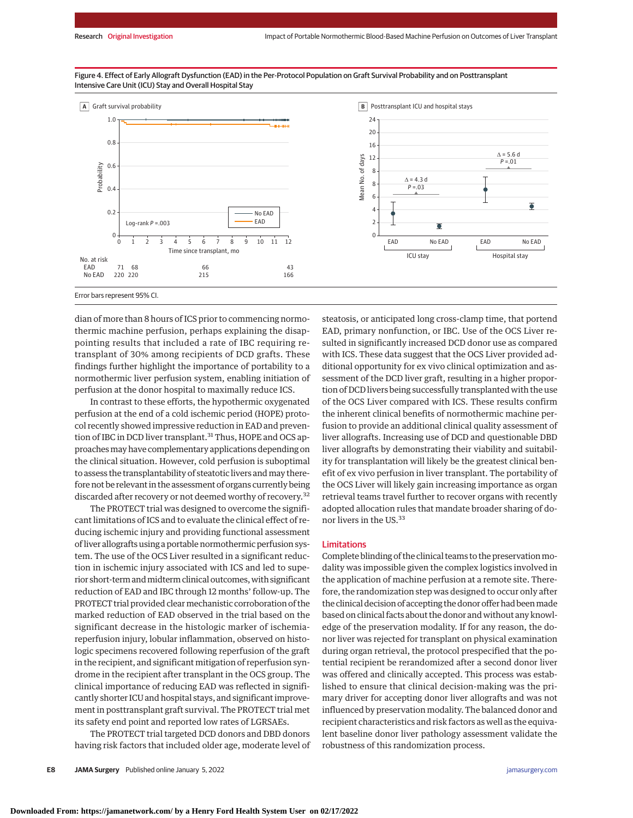

Figure 4. Effect of Early Allograft Dysfunction (EAD) in the Per-Protocol Population on Graft Survival Probability and on Posttransplant Intensive Care Unit (ICU) Stay and Overall Hospital Stay

dian of more than 8 hours of ICS prior to commencing normothermic machine perfusion, perhaps explaining the disappointing results that included a rate of IBC requiring retransplant of 30% among recipients of DCD grafts. These findings further highlight the importance of portability to a normothermic liver perfusion system, enabling initiation of perfusion at the donor hospital to maximally reduce ICS.

In contrast to these efforts, the hypothermic oxygenated perfusion at the end of a cold ischemic period (HOPE) protocol recently showed impressive reduction in EAD and prevention of IBC in DCD liver transplant.<sup>31</sup> Thus, HOPE and OCS approaches may have complementary applications depending on the clinical situation. However, cold perfusion is suboptimal to assess the transplantability of steatotic livers andmay therefore not be relevant in the assessment of organs currently being discarded after recovery or not deemed worthy of recovery.<sup>32</sup>

The PROTECT trial was designed to overcome the significant limitations of ICS and to evaluate the clinical effect of reducing ischemic injury and providing functional assessment of liver allografts using a portable normothermic perfusion system. The use of the OCS Liver resulted in a significant reduction in ischemic injury associated with ICS and led to superior short-term and midterm clinical outcomes, with significant reduction of EAD and IBC through 12 months' follow-up. The PROTECT trial provided clear mechanistic corroboration of the marked reduction of EAD observed in the trial based on the significant decrease in the histologic marker of ischemiareperfusion injury, lobular inflammation, observed on histologic specimens recovered following reperfusion of the graft in the recipient, and significant mitigation of reperfusion syndrome in the recipient after transplant in the OCS group. The clinical importance of reducing EAD was reflected in significantly shorter ICU and hospital stays, and significant improvement in posttransplant graft survival. The PROTECT trial met its safety end point and reported low rates of LGRSAEs.

The PROTECT trial targeted DCD donors and DBD donors having risk factors that included older age, moderate level of

**E8 JAMA Surgery** Published online January 5, 2022 **(Reprinted)** and the state of the state of the state of the state of the state of the state of the state of the state of the state of the state of the state of the state

steatosis, or anticipated long cross-clamp time, that portend EAD, primary nonfunction, or IBC. Use of the OCS Liver resulted in significantly increased DCD donor use as compared with ICS. These data suggest that the OCS Liver provided additional opportunity for ex vivo clinical optimization and assessment of the DCD liver graft, resulting in a higher proportion of DCD livers being successfully transplanted with the use of the OCS Liver compared with ICS. These results confirm the inherent clinical benefits of normothermic machine perfusion to provide an additional clinical quality assessment of liver allografts. Increasing use of DCD and questionable DBD liver allografts by demonstrating their viability and suitability for transplantation will likely be the greatest clinical benefit of ex vivo perfusion in liver transplant. The portability of the OCS Liver will likely gain increasing importance as organ retrieval teams travel further to recover organs with recently adopted allocation rules that mandate broader sharing of donor livers in the US.<sup>33</sup>

#### Limitations

Complete blinding of the clinical teams to the preservationmodality was impossible given the complex logistics involved in the application of machine perfusion at a remote site. Therefore, the randomization step was designed to occur only after the clinical decision of accepting the donor offer had been made based on clinical facts about the donor and without any knowledge of the preservation modality. If for any reason, the donor liver was rejected for transplant on physical examination during organ retrieval, the protocol prespecified that the potential recipient be rerandomized after a second donor liver was offered and clinically accepted. This process was established to ensure that clinical decision-making was the primary driver for accepting donor liver allografts and was not influenced by preservation modality. The balanced donor and recipient characteristics and risk factors as well as the equivalent baseline donor liver pathology assessment validate the robustness of this randomization process.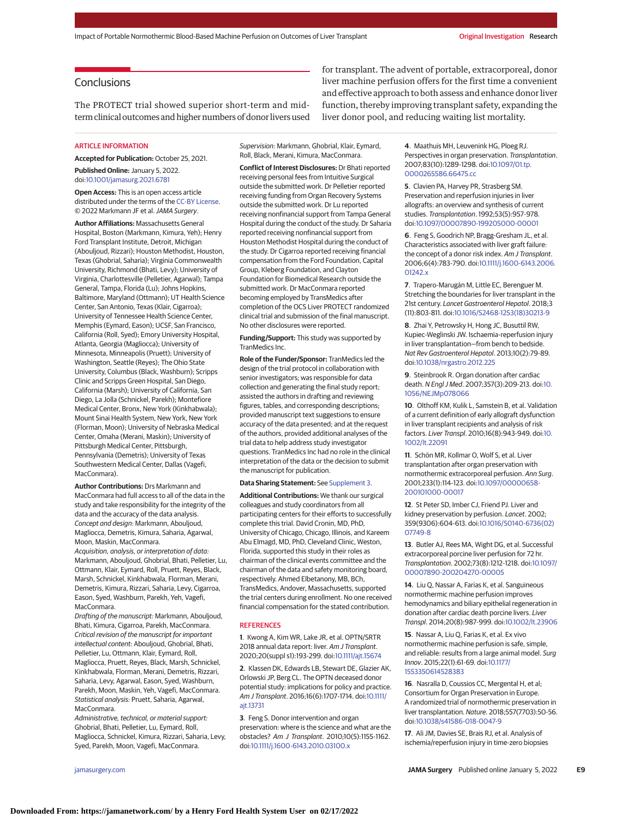## **Conclusions**

The PROTECT trial showed superior short-term and midterm clinical outcomes and higher numbers of donor livers used

#### **ARTICLE INFORMATION**

**Accepted for Publication:** October 25, 2021. **Published Online:** January 5, 2022.

doi[:10.1001/jamasurg.2021.6781](https://jamanetwork.com/journals/jama/fullarticle/10.1001/jamasurg.2021.6781?utm_campaign=articlePDF%26utm_medium=articlePDFlink%26utm_source=articlePDF%26utm_content=jamasurg.2021.6781)

**Open Access:** This is an open access article distributed under the terms of the [CC-BY License.](https://jamanetwork.com/pages/cc-by-license-permissions?utm_campaign=articlePDF%26utm_medium=articlePDFlink%26utm_source=articlePDF%26utm_content=jamasurg.2021.6781) © 2022 Markmann JF et al.JAMA Surgery.

**Author Affiliations:** Massachusetts General Hospital, Boston (Markmann, Kimura, Yeh); Henry Ford Transplant Institute, Detroit, Michigan (Abouljoud, Rizzari); Houston Methodist, Houston, Texas (Ghobrial, Saharia); Virginia Commonwealth University, Richmond (Bhati, Levy); University of Virginia, Charlottesville (Pelletier, Agarwal); Tampa General, Tampa, Florida (Lu); Johns Hopkins, Baltimore, Maryland (Ottmann); UT Health Science Center, San Antonio, Texas (Klair, Cigarroa); University of Tennessee Health Science Center, Memphis (Eymard, Eason); UCSF, San Francisco, California (Roll, Syed); Emory University Hospital, Atlanta, Georgia (Magliocca); University of Minnesota, Minneapolis (Pruett); University of Washington, Seattle (Reyes); The Ohio State University, Columbus (Black, Washburn); Scripps Clinic and Scripps Green Hospital, San Diego, California (Marsh); University of California, San Diego, La Jolla (Schnickel, Parekh); Montefiore Medical Center, Bronx, New York (Kinkhabwala); Mount Sinai Health System, New York, New York (Florman, Moon); University of Nebraska Medical Center, Omaha (Merani, Maskin); University of Pittsburgh Medical Center, Pittsburgh, Pennsylvania (Demetris); University of Texas Southwestern Medical Center, Dallas (Vagefi, MacConmara).

**Author Contributions:** Drs Markmann and MacConmara had full access to all of the data in the study and take responsibility for the integrity of the data and the accuracy of the data analysis. Concept and design: Markmann, Abouljoud, Magliocca, Demetris, Kimura, Saharia, Agarwal, Moon, Maskin, MacConmara. Acquisition, analysis, or interpretation of data: Markmann, Abouljoud, Ghobrial, Bhati, Pelletier, Lu, Ottmann, Klair, Eymard, Roll, Pruett, Reyes, Black, Marsh, Schnickel, Kinkhabwala, Florman, Merani,

Demetris, Kimura, Rizzari, Saharia, Levy, Cigarroa, Eason, Syed, Washburn, Parekh, Yeh, Vagefi, MacConmara.

Drafting of the manuscript: Markmann, Abouljoud, Bhati, Kimura, Cigarroa, Parekh, MacConmara. Critical revision of the manuscript for important intellectual content: Abouljoud, Ghobrial, Bhati, Pelletier, Lu, Ottmann, Klair, Eymard, Roll, Magliocca, Pruett, Reyes, Black, Marsh, Schnickel, Kinkhabwala, Florman, Merani, Demetris, Rizzari, Saharia, Levy, Agarwal, Eason, Syed, Washburn, Parekh, Moon, Maskin, Yeh, Vagefi, MacConmara. Statistical analysis: Pruett, Saharia, Agarwal, MacConmara.

Administrative, technical, or material support: Ghobrial, Bhati, Pelletier, Lu, Eymard, Roll, Magliocca, Schnickel, Kimura, Rizzari, Saharia, Levy, Syed, Parekh, Moon, Vagefi, MacConmara.

Supervision: Markmann, Ghobrial, Klair, Eymard, Roll, Black, Merani, Kimura, MacConmara.

**Conflict of Interest Disclosures:** Dr Bhati reported receiving personal fees from Intuitive Surgical outside the submitted work. Dr Pelletier reported receiving funding from Organ Recovery Systems outside the submitted work. Dr Lu reported receiving nonfinancial support from Tampa General Hospital during the conduct of the study. Dr Saharia reported receiving nonfinancial support from Houston Methodist Hospital during the conduct of the study. Dr Cigarroa reported receiving financial compensation from the Ford Foundation, Capital Group, Kleberg Foundation, and Clayton Foundation for Biomedical Research outside the submitted work. Dr MacConmara reported becoming employed by TransMedics after completion of the OCS Liver PROTECT randomized clinical trial and submission of the final manuscript. No other disclosures were reported.

**Funding/Support:** This study was supported by TranMedics Inc.

**Role of the Funder/Sponsor:** TranMedics led the design of the trial protocol in collaboration with senior investigators; was responsible for data collection and generating the final study report; assisted the authors in drafting and reviewing figures, tables, and corresponding descriptions; provided manuscript text suggestions to ensure accuracy of the data presented; and at the request of the authors, provided additional analyses of the trial data to help address study investigator questions. TranMedics Inc had no role in the clinical interpretation of the data or the decision to submit the manuscript for publication.

#### **Data Sharing Statement:** See [Supplement 3.](https://jamanetwork.com/journals/jama/fullarticle/10.1001/jamasurg.2021.6781?utm_campaign=articlePDF%26utm_medium=articlePDFlink%26utm_source=articlePDF%26utm_content=jamasurg.2021.6781)

**Additional Contributions:** We thank our surgical colleagues and study coordinators from all participating centers for their efforts to successfully complete this trial. David Cronin, MD, PhD, University of Chicago, Chicago, Illinois, and Kareem Abu Elmagd, MD, PhD, Cleveland Clinic, Weston, Florida, supported this study in their roles as chairman of the clinical events committee and the chairman of the data and safety monitoring board, respectively. Ahmed Elbetanony, MB, BCh, TransMedics, Andover, Massachusetts, supported the trial centers during enrollment. No one received financial compensation for the stated contribution.

#### **REFERENCES**

**1**. Kwong A, Kim WR, Lake JR, et al. OPTN/SRTR 2018 annual data report: liver. Am J Transplant. 2020;20(suppl s1):193-299. doi[:10.1111/ajt.15674](https://dx.doi.org/10.1111/ajt.15674)

**2**. Klassen DK, Edwards LB, Stewart DE, Glazier AK, Orlowski JP, Berg CL. The OPTN deceased donor potential study: implications for policy and practice. Am J Transplant. 2016;16(6):1707-1714. doi[:10.1111/](https://dx.doi.org/10.1111/ajt.13731) [ajt.13731](https://dx.doi.org/10.1111/ajt.13731)

**3**. Feng S. Donor intervention and organ preservation: where is the science and what are the obstacles? Am J Transplant. 2010;10(5):1155-1162. doi[:10.1111/j.1600-6143.2010.03100.x](https://dx.doi.org/10.1111/j.1600-6143.2010.03100.x)

for transplant. The advent of portable, extracorporeal, donor liver machine perfusion offers for the first time a convenient and effective approach to both assess and enhance donor liver function, thereby improving transplant safety, expanding the liver donor pool, and reducing waiting list mortality.

> **4**. Maathuis MH, Leuvenink HG, Ploeg RJ. Perspectives in organ preservation. Transplantation. 2007;83(10):1289-1298. doi[:10.1097/01.tp.](https://dx.doi.org/10.1097/01.tp.0000265586.66475.cc) [0000265586.66475.cc](https://dx.doi.org/10.1097/01.tp.0000265586.66475.cc)

**5**. Clavien PA, Harvey PR, Strasberg SM. Preservation and reperfusion injuries in liver allografts: an overview and synthesis of current studies. Transplantation. 1992;53(5):957-978. doi[:10.1097/00007890-199205000-00001](https://dx.doi.org/10.1097/00007890-199205000-00001)

**6**. Feng S, Goodrich NP, Bragg-Gresham JL, et al. Characteristics associated with liver graft failure: the concept of a donor risk index. Am J Transplant. 2006;6(4):783-790. doi[:10.1111/j.1600-6143.2006.](https://dx.doi.org/10.1111/j.1600-6143.2006.01242.x) [01242.x](https://dx.doi.org/10.1111/j.1600-6143.2006.01242.x)

**7**. Trapero-Marugán M, Little EC, Berenguer M. Stretching the boundaries for liver transplant in the 21st century. Lancet Gastroenterol Hepatol. 2018;3 (11):803-811. doi[:10.1016/S2468-1253\(18\)30213-9](https://dx.doi.org/10.1016/S2468-1253(18)30213-9)

**8**. Zhai Y, Petrowsky H, Hong JC, Busuttil RW, Kupiec-Weglinski JW. Ischaemia-reperfusion injury in liver transplantation—from bench to bedside. Nat Rev Gastroenterol Hepatol. 2013;10(2):79-89. doi[:10.1038/nrgastro.2012.225](https://dx.doi.org/10.1038/nrgastro.2012.225)

**9**. Steinbrook R. Organ donation after cardiac death. N Engl J Med. 2007;357(3):209-213. doi[:10.](https://dx.doi.org/10.1056/NEJMp078066) [1056/NEJMp078066](https://dx.doi.org/10.1056/NEJMp078066)

**10**. Olthoff KM, Kulik L, Samstein B, et al. Validation of a current definition of early allograft dysfunction in liver transplant recipients and analysis of risk factors. Liver Transpl. 2010;16(8):943-949. doi[:10.](https://dx.doi.org/10.1002/lt.22091) [1002/lt.22091](https://dx.doi.org/10.1002/lt.22091)

**11**. Schön MR, Kollmar O, Wolf S, et al. Liver transplantation after organ preservation with normothermic extracorporeal perfusion. Ann Surg. 2001;233(1):114-123. doi[:10.1097/00000658-](https://dx.doi.org/10.1097/00000658-200101000-00017) [200101000-00017](https://dx.doi.org/10.1097/00000658-200101000-00017)

**12**. St Peter SD, Imber CJ, Friend PJ. Liver and kidney preservation by perfusion. Lancet. 2002; 359(9306):604-613. doi[:10.1016/S0140-6736\(02\)](https://dx.doi.org/10.1016/S0140-6736(02)07749-8) [07749-8](https://dx.doi.org/10.1016/S0140-6736(02)07749-8)

**13**. Butler AJ, Rees MA, Wight DG, et al. Successful extracorporeal porcine liver perfusion for 72 hr. Transplantation. 2002;73(8):1212-1218. doi[:10.1097/](https://dx.doi.org/10.1097/00007890-200204270-00005) [00007890-200204270-00005](https://dx.doi.org/10.1097/00007890-200204270-00005)

**14**. Liu Q, Nassar A, Farias K, et al. Sanguineous normothermic machine perfusion improves hemodynamics and biliary epithelial regeneration in donation after cardiac death porcine livers. Liver Transpl. 2014;20(8):987-999. doi[:10.1002/lt.23906](https://dx.doi.org/10.1002/lt.23906)

**15**. Nassar A, Liu Q, Farias K, et al. Ex vivo normothermic machine perfusion is safe, simple, and reliable: results from a large animal model. Surg Innov. 2015;22(1):61-69. doi[:10.1177/](https://dx.doi.org/10.1177/1553350614528383) [1553350614528383](https://dx.doi.org/10.1177/1553350614528383)

**16**. Nasralla D, Coussios CC, Mergental H, et al; Consortium for Organ Preservation in Europe. A randomized trial of normothermic preservation in liver transplantation. Nature. 2018;557(7703):50-56. doi[:10.1038/s41586-018-0047-9](https://dx.doi.org/10.1038/s41586-018-0047-9)

**17**. Ali JM, Davies SE, Brais RJ, et al. Analysis of ischemia/reperfusion injury in time-zero biopsies